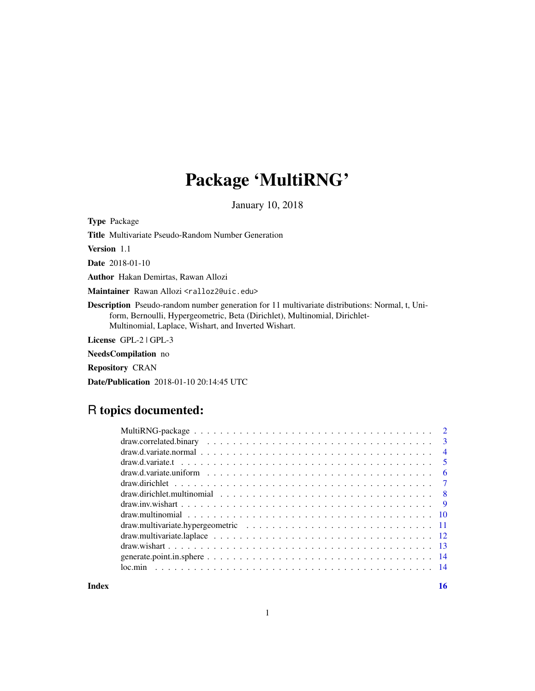# Package 'MultiRNG'

January 10, 2018

Type Package Title Multivariate Pseudo-Random Number Generation Version 1.1 Date 2018-01-10 Author Hakan Demirtas, Rawan Allozi Maintainer Rawan Allozi <ralloz2@uic.edu> Description Pseudo-random number generation for 11 multivariate distributions: Normal, t, Uniform, Bernoulli, Hypergeometric, Beta (Dirichlet), Multinomial, Dirichlet-Multinomial, Laplace, Wishart, and Inverted Wishart. License GPL-2 | GPL-3

NeedsCompilation no

Repository CRAN

Date/Publication 2018-01-10 20:14:45 UTC

# R topics documented:

| - 6 |
|-----|
|     |
|     |
|     |
|     |
|     |
|     |
|     |
|     |
|     |
|     |

**Index** the contract of the contract of the contract of the contract of the contract of the contract of the contract of the contract of the contract of the contract of the contract of the contract of the contract of the co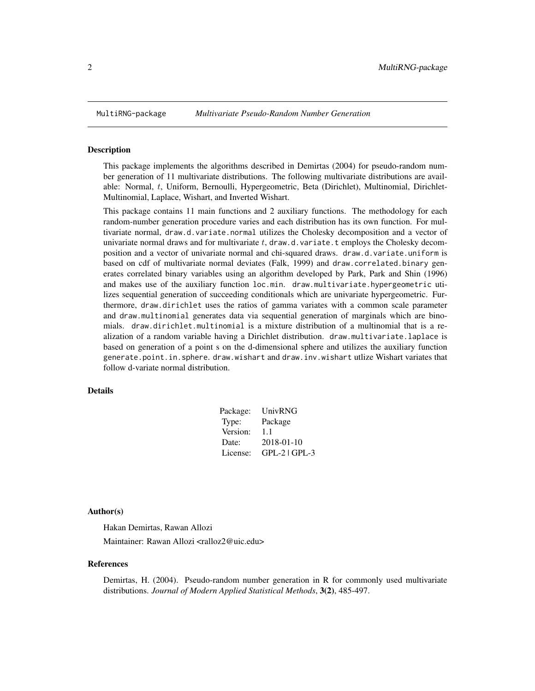<span id="page-1-0"></span>

This package implements the algorithms described in Demirtas (2004) for pseudo-random number generation of 11 multivariate distributions. The following multivariate distributions are available: Normal, t, Uniform, Bernoulli, Hypergeometric, Beta (Dirichlet), Multinomial, Dirichlet-Multinomial, Laplace, Wishart, and Inverted Wishart.

This package contains 11 main functions and 2 auxiliary functions. The methodology for each random-number generation procedure varies and each distribution has its own function. For multivariate normal, draw.d.variate.normal utilizes the Cholesky decomposition and a vector of univariate normal draws and for multivariate  $t$ , draw.d.variate.t employs the Cholesky decomposition and a vector of univariate normal and chi-squared draws. draw.d.variate.uniform is based on cdf of multivariate normal deviates (Falk, 1999) and draw.correlated.binary generates correlated binary variables using an algorithm developed by Park, Park and Shin (1996) and makes use of the auxiliary function loc.min. draw.multivariate.hypergeometric utilizes sequential generation of succeeding conditionals which are univariate hypergeometric. Furthermore, draw.dirichlet uses the ratios of gamma variates with a common scale parameter and draw.multinomial generates data via sequential generation of marginals which are binomials. draw.dirichlet.multinomial is a mixture distribution of a multinomial that is a realization of a random variable having a Dirichlet distribution. draw.multivariate.laplace is based on generation of a point s on the d-dimensional sphere and utilizes the auxiliary function generate.point.in.sphere. draw.wishart and draw.inv.wishart utlize Wishart variates that follow d-variate normal distribution.

#### Details

| Package: | UnivRNG           |
|----------|-------------------|
| Type:    | Package           |
| Version: | 1.1               |
| Date:    | 2018-01-10        |
| License: | $GPL-2$   $GPL-3$ |

#### Author(s)

Hakan Demirtas, Rawan Allozi Maintainer: Rawan Allozi <ralloz2@uic.edu>

#### References

Demirtas, H. (2004). Pseudo-random number generation in R for commonly used multivariate distributions. *Journal of Modern Applied Statistical Methods*, 3(2), 485-497.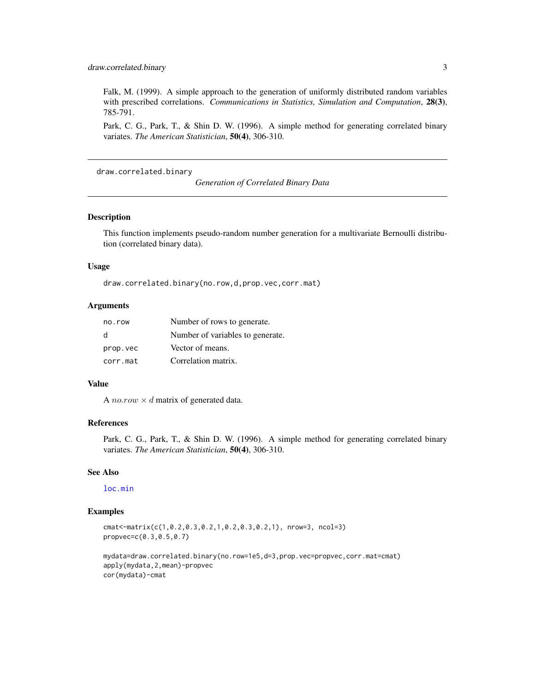<span id="page-2-0"></span>Falk, M. (1999). A simple approach to the generation of uniformly distributed random variables with prescribed correlations. *Communications in Statistics, Simulation and Computation*, 28(3), 785-791.

Park, C. G., Park, T., & Shin D. W. (1996). A simple method for generating correlated binary variates. *The American Statistician*, 50(4), 306-310.

draw.correlated.binary

*Generation of Correlated Binary Data*

#### Description

This function implements pseudo-random number generation for a multivariate Bernoulli distribution (correlated binary data).

#### Usage

draw.correlated.binary(no.row,d,prop.vec,corr.mat)

#### Arguments

| no.row   | Number of rows to generate.      |
|----------|----------------------------------|
| d        | Number of variables to generate. |
| prop.vec | Vector of means.                 |
| corr.mat | Correlation matrix.              |

#### Value

A *no.row*  $\times$  *d* matrix of generated data.

#### References

Park, C. G., Park, T., & Shin D. W. (1996). A simple method for generating correlated binary variates. *The American Statistician*, 50(4), 306-310.

#### See Also

# [loc.min](#page-13-1)

#### Examples

cmat<-matrix(c(1,0.2,0.3,0.2,1,0.2,0.3,0.2,1), nrow=3, ncol=3) propvec=c(0.3,0.5,0.7)

```
mydata=draw.correlated.binary(no.row=1e5,d=3,prop.vec=propvec,corr.mat=cmat)
apply(mydata,2,mean)-propvec
cor(mydata)-cmat
```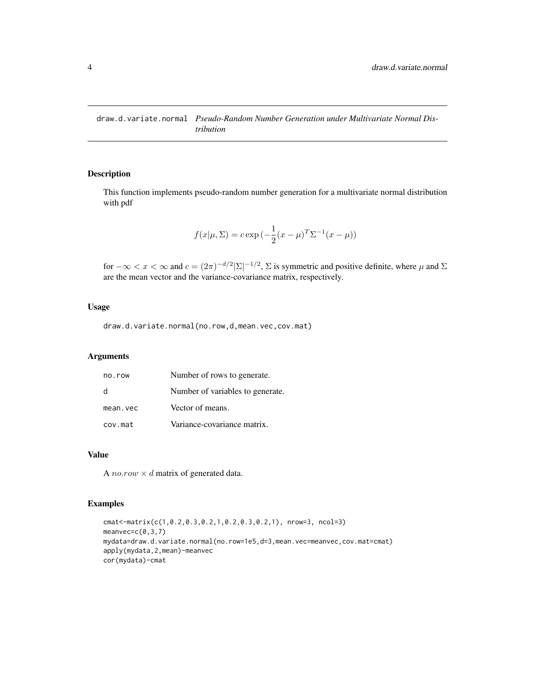<span id="page-3-1"></span><span id="page-3-0"></span>draw.d.variate.normal *Pseudo-Random Number Generation under Multivariate Normal Distribution*

# Description

This function implements pseudo-random number generation for a multivariate normal distribution with pdf

$$
f(x|\mu, \Sigma) = c \exp(-\frac{1}{2}(x - \mu)^T \Sigma^{-1} (x - \mu))
$$

for  $-\infty < x < \infty$  and  $c = (2\pi)^{-d/2} |\Sigma|^{-1/2}$ ,  $\Sigma$  is symmetric and positive definite, where  $\mu$  and  $\Sigma$ are the mean vector and the variance-covariance matrix, respectively.

# Usage

draw.d.variate.normal(no.row,d,mean.vec,cov.mat)

# Arguments

| no.row   | Number of rows to generate.      |
|----------|----------------------------------|
| -d       | Number of variables to generate. |
| mean.vec | Vector of means.                 |
| cov.mat  | Variance-covariance matrix.      |

#### Value

A *no.row*  $\times$  *d* matrix of generated data.

```
cmat<-matrix(c(1,0.2,0.3,0.2,1,0.2,0.3,0.2,1), nrow=3, ncol=3)
meanvec=c(0,3,7)
mydata=draw.d.variate.normal(no.row=1e5,d=3,mean.vec=meanvec,cov.mat=cmat)
apply(mydata,2,mean)-meanvec
cor(mydata)-cmat
```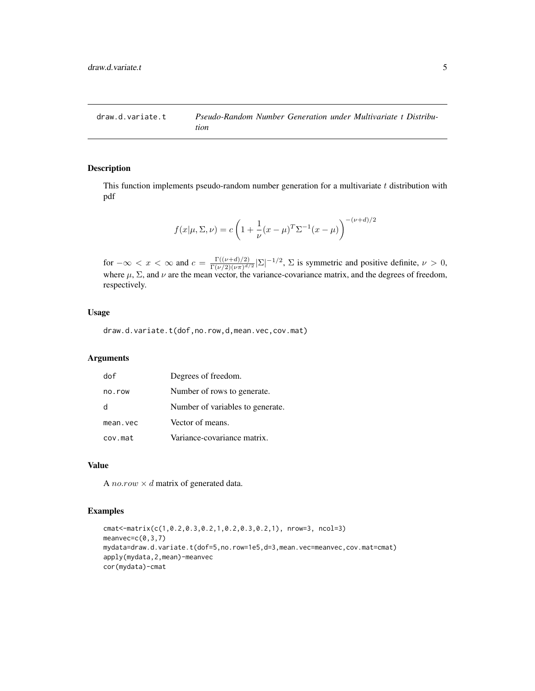<span id="page-4-0"></span>

This function implements pseudo-random number generation for a multivariate  $t$  distribution with pdf

$$
f(x|\mu, \Sigma, \nu) = c \left( 1 + \frac{1}{\nu} (x - \mu)^T \Sigma^{-1} (x - \mu) \right)^{-(\nu + d)/2}
$$

for  $-\infty < x < \infty$  and  $c = \frac{\Gamma((\nu+d)/2)}{\Gamma(\nu/2)(\nu\pi)^{d}}$  $\frac{\Gamma((\nu+d)/2)}{\Gamma(\nu/2)(\nu\pi)^{d/2}}|\Sigma|^{-1/2}$ ,  $\Sigma$  is symmetric and positive definite,  $\nu > 0$ , where  $\mu$ ,  $\Sigma$ , and  $\nu$  are the mean vector, the variance-covariance matrix, and the degrees of freedom, respectively.

#### Usage

draw.d.variate.t(dof,no.row,d,mean.vec,cov.mat)

# Arguments

| dof      | Degrees of freedom.              |
|----------|----------------------------------|
| no.row   | Number of rows to generate.      |
| h        | Number of variables to generate. |
| mean.vec | Vector of means.                 |
| cov.mat  | Variance-covariance matrix.      |

# Value

A *no.row*  $\times$  *d* matrix of generated data.

```
cmat<-matrix(c(1,0.2,0.3,0.2,1,0.2,0.3,0.2,1), nrow=3, ncol=3)
meanvec=c(0,3,7)
mydata=draw.d.variate.t(dof=5,no.row=1e5,d=3,mean.vec=meanvec,cov.mat=cmat)
apply(mydata,2,mean)-meanvec
cor(mydata)-cmat
```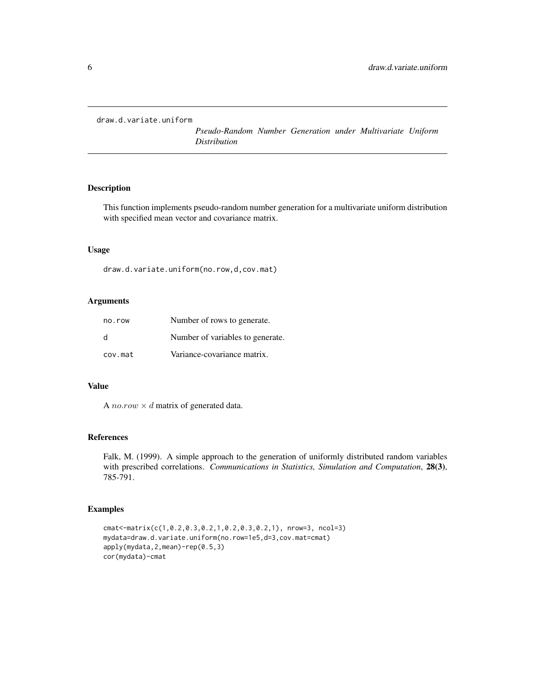<span id="page-5-0"></span>draw.d.variate.uniform

*Pseudo-Random Number Generation under Multivariate Uniform Distribution*

# Description

This function implements pseudo-random number generation for a multivariate uniform distribution with specified mean vector and covariance matrix.

#### Usage

draw.d.variate.uniform(no.row,d,cov.mat)

#### Arguments

| no.row  | Number of rows to generate.      |
|---------|----------------------------------|
| d       | Number of variables to generate. |
| cov.mat | Variance-covariance matrix.      |

#### Value

A *no.row*  $\times$  *d* matrix of generated data.

#### References

Falk, M. (1999). A simple approach to the generation of uniformly distributed random variables with prescribed correlations. *Communications in Statistics, Simulation and Computation*, 28(3), 785-791.

```
cmat<-matrix(c(1,0.2,0.3,0.2,1,0.2,0.3,0.2,1), nrow=3, ncol=3)
mydata=draw.d.variate.uniform(no.row=1e5,d=3,cov.mat=cmat)
apply(mydata,2,mean)-rep(0.5,3)
cor(mydata)-cmat
```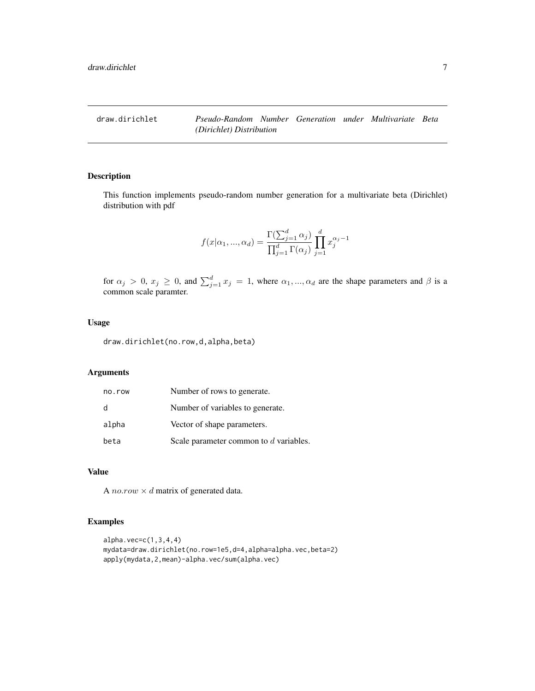<span id="page-6-1"></span><span id="page-6-0"></span>

This function implements pseudo-random number generation for a multivariate beta (Dirichlet) distribution with pdf

$$
f(x|\alpha_1, ..., \alpha_d) = \frac{\Gamma(\sum_{j=1}^d \alpha_j)}{\prod_{j=1}^d \Gamma(\alpha_j)} \prod_{j=1}^d x_j^{\alpha_j - 1}
$$

for  $\alpha_j > 0$ ,  $x_j \ge 0$ , and  $\sum_{j=1}^d x_j = 1$ , where  $\alpha_1, ..., \alpha_d$  are the shape parameters and  $\beta$  is a common scale paramter.

# Usage

draw.dirichlet(no.row,d,alpha,beta)

# Arguments

| no.row | Number of rows to generate.            |
|--------|----------------------------------------|
| d      | Number of variables to generate.       |
| alpha  | Vector of shape parameters.            |
| beta   | Scale parameter common to d variables. |

#### Value

A *no.row*  $\times$  *d* matrix of generated data.

```
alpha.vec=c(1,3,4,4)
mydata=draw.dirichlet(no.row=1e5,d=4,alpha=alpha.vec,beta=2)
apply(mydata,2,mean)-alpha.vec/sum(alpha.vec)
```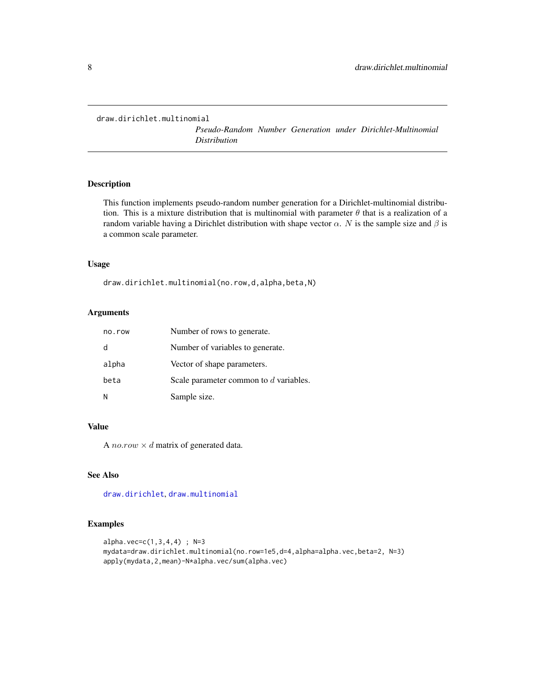```
draw.dirichlet.multinomial
```
*Pseudo-Random Number Generation under Dirichlet-Multinomial Distribution*

#### Description

This function implements pseudo-random number generation for a Dirichlet-multinomial distribution. This is a mixture distribution that is multinomial with parameter  $\theta$  that is a realization of a random variable having a Dirichlet distribution with shape vector  $\alpha$ . N is the sample size and  $\beta$  is a common scale parameter.

# Usage

draw.dirichlet.multinomial(no.row,d,alpha,beta,N)

# Arguments

| no.row | Number of rows to generate.            |
|--------|----------------------------------------|
| d      | Number of variables to generate.       |
| alpha  | Vector of shape parameters.            |
| beta   | Scale parameter common to d variables. |
| N      | Sample size.                           |

#### Value

A no.row  $\times$  d matrix of generated data.

# See Also

[draw.dirichlet](#page-6-1), [draw.multinomial](#page-9-1)

```
alpha.vec=c(1,3,4,4) ; N=3
mydata=draw.dirichlet.multinomial(no.row=1e5,d=4,alpha=alpha.vec,beta=2, N=3)
apply(mydata,2,mean)-N*alpha.vec/sum(alpha.vec)
```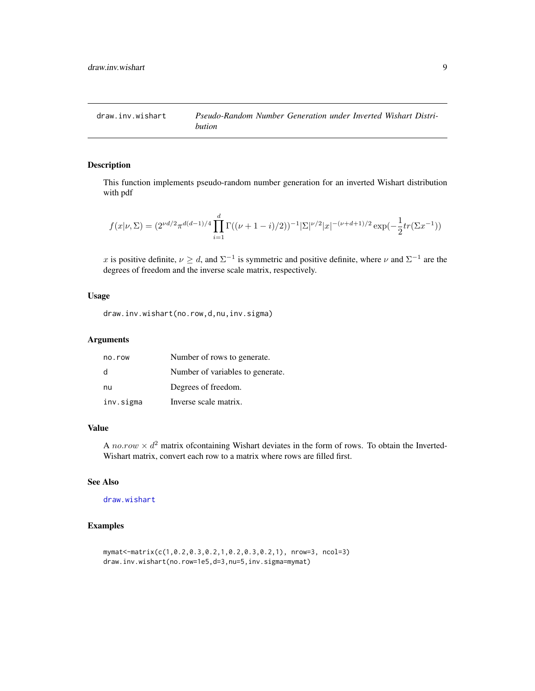<span id="page-8-0"></span>

This function implements pseudo-random number generation for an inverted Wishart distribution with pdf

$$
f(x|\nu, \Sigma) = (2^{\nu d/2} \pi^{d(d-1)/4} \prod_{i=1}^d \Gamma((\nu+1-i)/2))^{-1} |\Sigma|^{\nu/2} |x|^{-(\nu+d+1)/2} \exp(-\frac{1}{2} tr(\Sigma x^{-1}))
$$

x is positive definite,  $\nu \geq d$ , and  $\Sigma^{-1}$  is symmetric and positive definite, where  $\nu$  and  $\Sigma^{-1}$  are the degrees of freedom and the inverse scale matrix, respectively.

#### Usage

draw.inv.wishart(no.row,d,nu,inv.sigma)

# Arguments

| no.row    | Number of rows to generate.      |
|-----------|----------------------------------|
| d         | Number of variables to generate. |
| nu        | Degrees of freedom.              |
| inv.sigma | Inverse scale matrix.            |

### Value

A no.row  $\times d^2$  matrix of containing Wishart deviates in the form of rows. To obtain the Inverted-Wishart matrix, convert each row to a matrix where rows are filled first.

# See Also

[draw.wishart](#page-12-1)

```
mymat<-matrix(c(1,0.2,0.3,0.2,1,0.2,0.3,0.2,1), nrow=3, ncol=3)
draw.inv.wishart(no.row=1e5,d=3,nu=5,inv.sigma=mymat)
```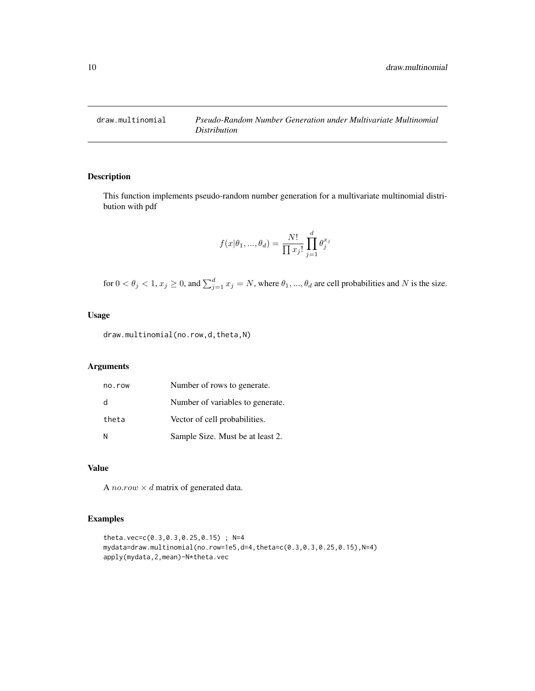<span id="page-9-1"></span><span id="page-9-0"></span>

This function implements pseudo-random number generation for a multivariate multinomial distribution with pdf

$$
f(x|\theta_1, ..., \theta_d) = \frac{N!}{\prod x_j!} \prod_{j=1}^d \theta_j^{x_j}
$$

for  $0 < \theta_j < 1$ ,  $x_j \ge 0$ , and  $\sum_{j=1}^d x_j = N$ , where  $\theta_1, ..., \theta_d$  are cell probabilities and N is the size.

#### Usage

draw.multinomial(no.row,d,theta,N)

# Arguments

| no.row | Number of rows to generate.      |
|--------|----------------------------------|
| d      | Number of variables to generate. |
| theta  | Vector of cell probabilities.    |
| N      | Sample Size. Must be at least 2. |

#### Value

A *no.row*  $\times$  *d* matrix of generated data.

```
theta.vec=c(0.3,0.3,0.25,0.15) ; N=4
mydata=draw.multinomial(no.row=1e5,d=4,theta=c(0.3,0.3,0.25,0.15),N=4)
apply(mydata,2,mean)-N*theta.vec
```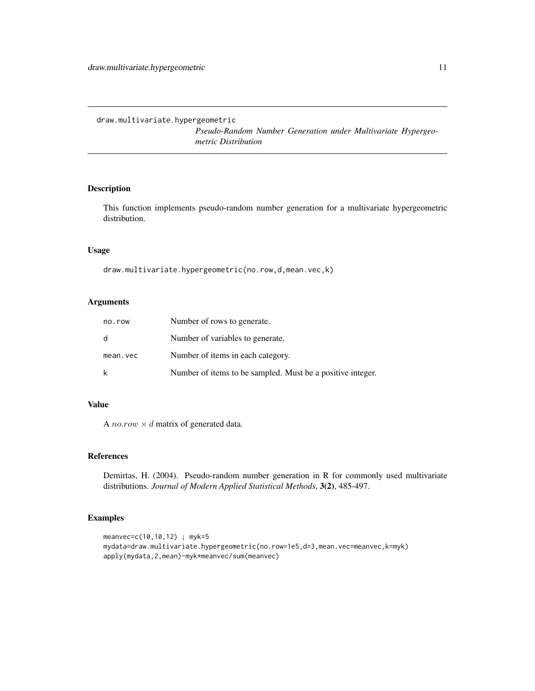<span id="page-10-0"></span>draw.multivariate.hypergeometric

*Pseudo-Random Number Generation under Multivariate Hypergeometric Distribution*

# Description

This function implements pseudo-random number generation for a multivariate hypergeometric distribution.

#### Usage

draw.multivariate.hypergeometric(no.row,d,mean.vec,k)

# Arguments

| no.row   | Number of rows to generate.                                |
|----------|------------------------------------------------------------|
| d        | Number of variables to generate.                           |
| mean.vec | Number of items in each category.                          |
| k        | Number of items to be sampled. Must be a positive integer. |

# Value

A *no.row*  $\times$  *d* matrix of generated data.

#### References

Demirtas, H. (2004). Pseudo-random number generation in R for commonly used multivariate distributions. *Journal of Modern Applied Statistical Methods*, 3(2), 485-497.

```
meanvec=c(10,10,12) ; myk=5
mydata=draw.multivariate.hypergeometric(no.row=1e5,d=3,mean.vec=meanvec,k=myk)
apply(mydata,2,mean)-myk*meanvec/sum(meanvec)
```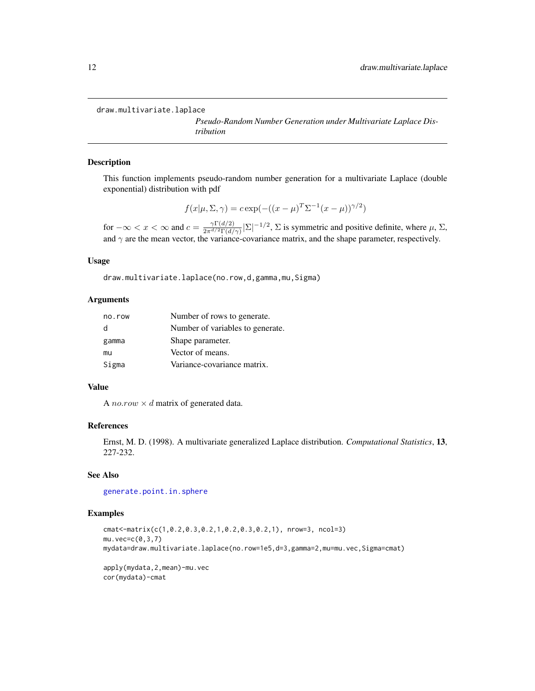```
draw.multivariate.laplace
```
*Pseudo-Random Number Generation under Multivariate Laplace Distribution*

#### Description

This function implements pseudo-random number generation for a multivariate Laplace (double exponential) distribution with pdf

$$
f(x|\mu, \Sigma, \gamma) = c \exp(-((x - \mu)^T \Sigma^{-1} (x - \mu))^{\gamma/2})
$$

for  $-\infty < x < \infty$  and  $c = \frac{\gamma \Gamma(d/2)}{2\pi d/2 \Gamma(d)}$  $\frac{\gamma \Gamma(d/2)}{2\pi^{d/2} \Gamma(d/\gamma)} |\Sigma|^{-1/2}$ ,  $\Sigma$  is symmetric and positive definite, where  $\mu$ ,  $\Sigma$ , and  $\gamma$  are the mean vector, the variance-covariance matrix, and the shape parameter, respectively.

#### Usage

draw.multivariate.laplace(no.row,d,gamma,mu,Sigma)

#### Arguments

| no.row | Number of rows to generate.      |
|--------|----------------------------------|
| d      | Number of variables to generate. |
| gamma  | Shape parameter.                 |
| mu     | Vector of means.                 |
| Sigma  | Variance-covariance matrix.      |

#### Value

A *no.row*  $\times$  *d* matrix of generated data.

#### References

Ernst, M. D. (1998). A multivariate generalized Laplace distribution. *Computational Statistics*, 13, 227-232.

# See Also

[generate.point.in.sphere](#page-13-2)

#### Examples

```
cmat<-matrix(c(1,0.2,0.3,0.2,1,0.2,0.3,0.2,1), nrow=3, ncol=3)
mu.vec=c(0,3,7)
mydata=draw.multivariate.laplace(no.row=1e5,d=3,gamma=2,mu=mu.vec,Sigma=cmat)
apply(mydata,2,mean)-mu.vec
```
cor(mydata)-cmat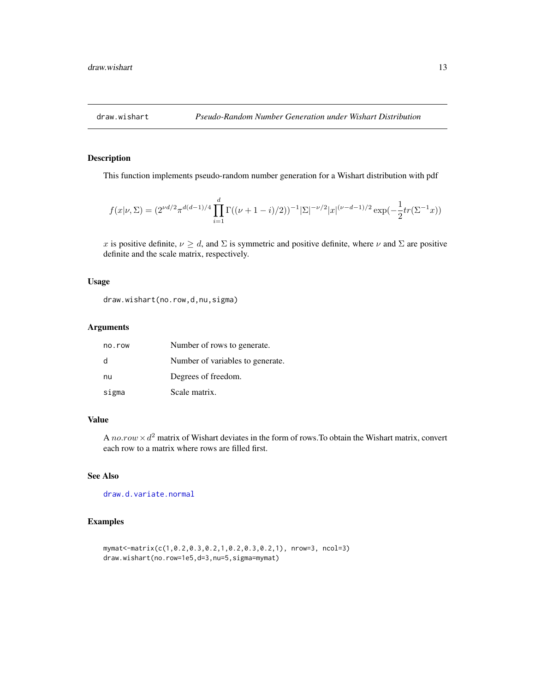<span id="page-12-1"></span><span id="page-12-0"></span>

This function implements pseudo-random number generation for a Wishart distribution with pdf

$$
f(x|\nu,\Sigma)=(2^{\nu d/2}\pi^{d(d-1)/4}\prod_{i=1}^d\Gamma((\nu+1-i)/2))^{-1}|\Sigma|^{-\nu/2}|x|^{(\nu-d-1)/2}\exp(-\frac{1}{2}tr(\Sigma^{-1}x))
$$

x is positive definite,  $\nu \geq d$ , and  $\Sigma$  is symmetric and positive definite, where  $\nu$  and  $\Sigma$  are positive definite and the scale matrix, respectively.

#### Usage

draw.wishart(no.row,d,nu,sigma)

#### Arguments

| no.row       | Number of rows to generate.      |
|--------------|----------------------------------|
| <sub>d</sub> | Number of variables to generate. |
| nu           | Degrees of freedom.              |
| sigma        | Scale matrix.                    |

# Value

A no.row  $\times d^2$  matrix of Wishart deviates in the form of rows. To obtain the Wishart matrix, convert each row to a matrix where rows are filled first.

# See Also

[draw.d.variate.normal](#page-3-1)

```
mymat<-matrix(c(1,0.2,0.3,0.2,1,0.2,0.3,0.2,1), nrow=3, ncol=3)
draw.wishart(no.row=1e5,d=3,nu=5,sigma=mymat)
```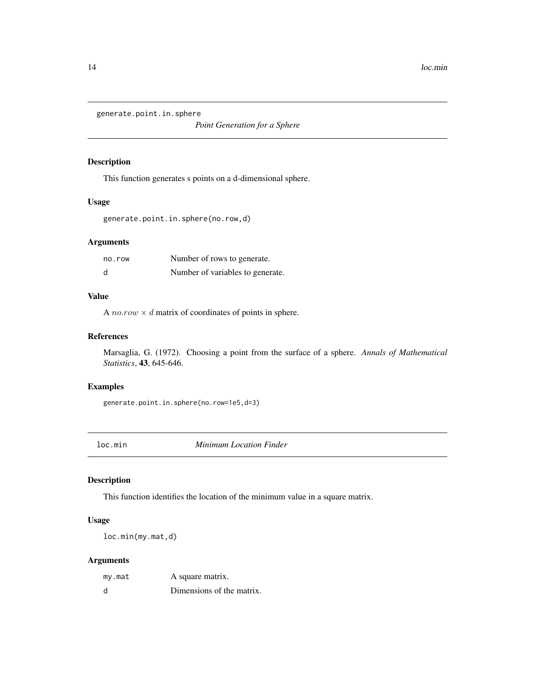<span id="page-13-2"></span><span id="page-13-0"></span>generate.point.in.sphere

*Point Generation for a Sphere*

# Description

This function generates s points on a d-dimensional sphere.

## Usage

```
generate.point.in.sphere(no.row,d)
```
# Arguments

| no.row | Number of rows to generate.      |
|--------|----------------------------------|
| d      | Number of variables to generate. |

# Value

A *no.row*  $\times$  *d* matrix of coordinates of points in sphere.

# References

Marsaglia, G. (1972). Choosing a point from the surface of a sphere. *Annals of Mathematical Statistics*, 43, 645-646.

#### Examples

generate.point.in.sphere(no.row=1e5,d=3)

<span id="page-13-1"></span>loc.min *Minimum Location Finder*

#### Description

This function identifies the location of the minimum value in a square matrix.

# Usage

loc.min(my.mat,d)

# Arguments

| my.mat | A square matrix.          |
|--------|---------------------------|
| d      | Dimensions of the matrix. |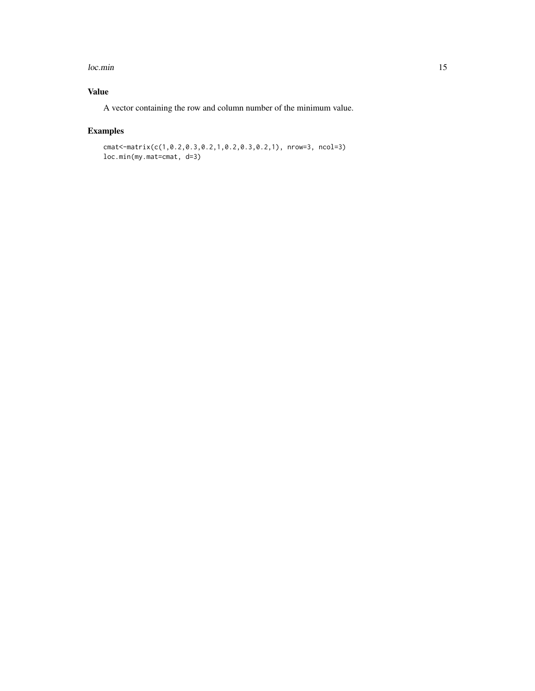#### loc.min 15

# Value

A vector containing the row and column number of the minimum value.

# Examples

cmat<-matrix(c(1,0.2,0.3,0.2,1,0.2,0.3,0.2,1), nrow=3, ncol=3) loc.min(my.mat=cmat, d=3)